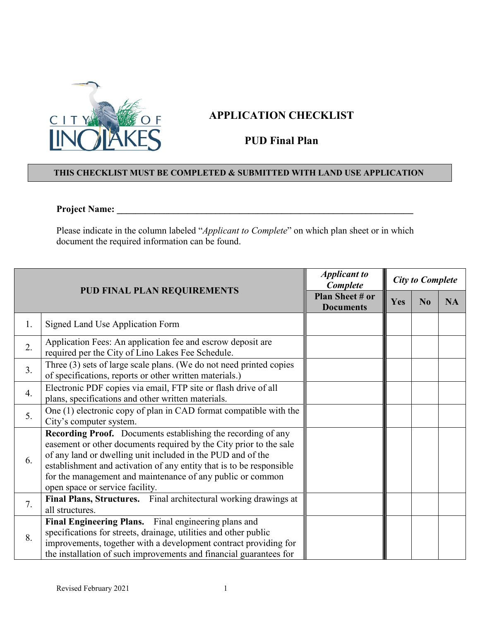

## **APPLICATION CHECKLIST**

## **PUD Final Plan**

## **THIS CHECKLIST MUST BE COMPLETED & SUBMITTED WITH LAND USE APPLICATION**

## **Project Name: \_\_\_\_\_\_\_\_\_\_\_\_\_\_\_\_\_\_\_\_\_\_\_\_\_\_\_\_\_\_\_\_\_\_\_\_\_\_\_\_\_\_\_\_\_\_\_\_\_\_\_\_\_\_\_\_\_\_\_\_\_\_\_**

Please indicate in the column labeled "*Applicant to Complete*" on which plan sheet or in which document the required information can be found.

| <b>PUD FINAL PLAN REQUIREMENTS</b> |                                                                                                                                                                                                                                                                                                                                                                            | <b>Applicant to</b><br>Complete     | <b>City to Complete</b> |                |           |
|------------------------------------|----------------------------------------------------------------------------------------------------------------------------------------------------------------------------------------------------------------------------------------------------------------------------------------------------------------------------------------------------------------------------|-------------------------------------|-------------------------|----------------|-----------|
|                                    |                                                                                                                                                                                                                                                                                                                                                                            | Plan Sheet # or<br><b>Documents</b> | Yes                     | N <sub>0</sub> | <b>NA</b> |
| 1.                                 | Signed Land Use Application Form                                                                                                                                                                                                                                                                                                                                           |                                     |                         |                |           |
| 2.                                 | Application Fees: An application fee and escrow deposit are<br>required per the City of Lino Lakes Fee Schedule.                                                                                                                                                                                                                                                           |                                     |                         |                |           |
| 3.                                 | Three (3) sets of large scale plans. (We do not need printed copies<br>of specifications, reports or other written materials.)                                                                                                                                                                                                                                             |                                     |                         |                |           |
| $\overline{4}$ .                   | Electronic PDF copies via email, FTP site or flash drive of all<br>plans, specifications and other written materials.                                                                                                                                                                                                                                                      |                                     |                         |                |           |
| 5.                                 | One (1) electronic copy of plan in CAD format compatible with the<br>City's computer system.                                                                                                                                                                                                                                                                               |                                     |                         |                |           |
| 6.                                 | Recording Proof. Documents establishing the recording of any<br>easement or other documents required by the City prior to the sale<br>of any land or dwelling unit included in the PUD and of the<br>establishment and activation of any entity that is to be responsible<br>for the management and maintenance of any public or common<br>open space or service facility. |                                     |                         |                |           |
| 7.                                 | Final Plans, Structures. Final architectural working drawings at<br>all structures.                                                                                                                                                                                                                                                                                        |                                     |                         |                |           |
| 8.                                 | Final Engineering Plans. Final engineering plans and<br>specifications for streets, drainage, utilities and other public<br>improvements, together with a development contract providing for<br>the installation of such improvements and financial guarantees for                                                                                                         |                                     |                         |                |           |